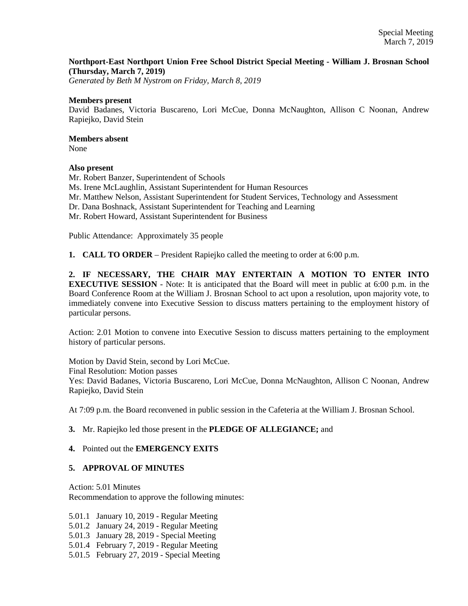## **Northport-East Northport Union Free School District Special Meeting - William J. Brosnan School (Thursday, March 7, 2019)**

*Generated by Beth M Nystrom on Friday, March 8, 2019*

#### **Members present**

David Badanes, Victoria Buscareno, Lori McCue, Donna McNaughton, Allison C Noonan, Andrew Rapiejko, David Stein

# **Members absent**

None

#### **Also present**

Mr. Robert Banzer, Superintendent of Schools Ms. Irene McLaughlin, Assistant Superintendent for Human Resources Mr. Matthew Nelson, Assistant Superintendent for Student Services, Technology and Assessment Dr. Dana Boshnack, Assistant Superintendent for Teaching and Learning Mr. Robert Howard, Assistant Superintendent for Business

Public Attendance: Approximately 35 people

**1. CALL TO ORDER** – President Rapiejko called the meeting to order at 6:00 p.m.

**2. IF NECESSARY, THE CHAIR MAY ENTERTAIN A MOTION TO ENTER INTO EXECUTIVE SESSION** - Note: It is anticipated that the Board will meet in public at 6:00 p.m. in the Board Conference Room at the William J. Brosnan School to act upon a resolution, upon majority vote, to immediately convene into Executive Session to discuss matters pertaining to the employment history of particular persons.

Action: 2.01 Motion to convene into Executive Session to discuss matters pertaining to the employment history of particular persons.

Motion by David Stein, second by Lori McCue. Final Resolution: Motion passes Yes: David Badanes, Victoria Buscareno, Lori McCue, Donna McNaughton, Allison C Noonan, Andrew Rapiejko, David Stein

At 7:09 p.m. the Board reconvened in public session in the Cafeteria at the William J. Brosnan School.

## **3.** Mr. Rapiejko led those present in the **PLEDGE OF ALLEGIANCE;** and

## **4.** Pointed out the **EMERGENCY EXITS**

## **5. APPROVAL OF MINUTES**

Action: 5.01 Minutes Recommendation to approve the following minutes:

5.01.1 January 10, 2019 - Regular Meeting 5.01.2 January 24, 2019 - Regular Meeting 5.01.3 January 28, 2019 - Special Meeting 5.01.4 February 7, 2019 - Regular Meeting 5.01.5 February 27, 2019 - Special Meeting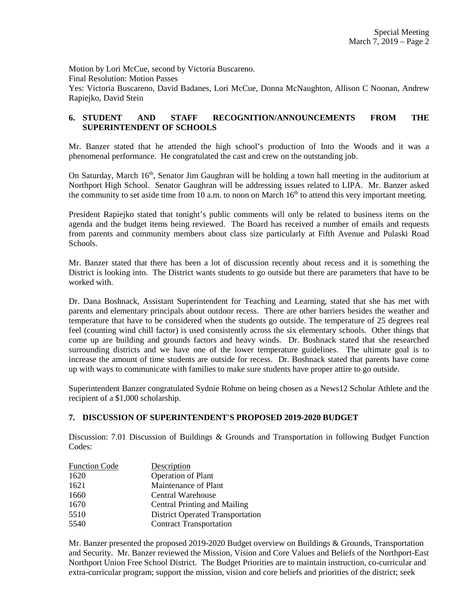Motion by Lori McCue, second by Victoria Buscareno. Final Resolution: Motion Passes Yes: Victoria Buscareno, David Badanes, Lori McCue, Donna McNaughton, Allison C Noonan, Andrew Rapiejko, David Stein

# **6. STUDENT AND STAFF RECOGNITION/ANNOUNCEMENTS FROM THE SUPERINTENDENT OF SCHOOLS**

Mr. Banzer stated that he attended the high school's production of Into the Woods and it was a phenomenal performance. He congratulated the cast and crew on the outstanding job.

On Saturday, March 16<sup>th</sup>, Senator Jim Gaughran will be holding a town hall meeting in the auditorium at Northport High School. Senator Gaughran will be addressing issues related to LIPA. Mr. Banzer asked the community to set aside time from 10 a.m. to noon on March  $16<sup>th</sup>$  to attend this very important meeting.

President Rapiejko stated that tonight's public comments will only be related to business items on the agenda and the budget items being reviewed. The Board has received a number of emails and requests from parents and community members about class size particularly at Fifth Avenue and Pulaski Road Schools.

Mr. Banzer stated that there has been a lot of discussion recently about recess and it is something the District is looking into. The District wants students to go outside but there are parameters that have to be worked with.

Dr. Dana Boshnack, Assistant Superintendent for Teaching and Learning, stated that she has met with parents and elementary principals about outdoor recess. There are other barriers besides the weather and temperature that have to be considered when the students go outside. The temperature of 25 degrees real feel (counting wind chill factor) is used consistently across the six elementary schools. Other things that come up are building and grounds factors and heavy winds. Dr. Boshnack stated that she researched surrounding districts and we have one of the lower temperature guidelines. The ultimate goal is to increase the amount of time students are outside for recess. Dr. Boshnack stated that parents have come up with ways to communicate with families to make sure students have proper attire to go outside.

Superintendent Banzer congratulated Sydnie Rohme on being chosen as a News12 Scholar Athlete and the recipient of a \$1,000 scholarship.

## **7. DISCUSSION OF SUPERINTENDENT'S PROPOSED 2019-2020 BUDGET**

Discussion: 7.01 Discussion of Buildings & Grounds and Transportation in following Budget Function Codes:

| <b>Function Code</b> | Description                             |
|----------------------|-----------------------------------------|
| 1620                 | Operation of Plant                      |
| 1621                 | Maintenance of Plant                    |
| 1660                 | <b>Central Warehouse</b>                |
| 1670                 | <b>Central Printing and Mailing</b>     |
| 5510                 | <b>District Operated Transportation</b> |
| 5540                 | <b>Contract Transportation</b>          |

Mr. Banzer presented the proposed 2019-2020 Budget overview on Buildings & Grounds, Transportation and Security. Mr. Banzer reviewed the Mission, Vision and Core Values and Beliefs of the Northport-East Northport Union Free School District. The Budget Priorities are to maintain instruction, co-curricular and extra-curricular program; support the mission, vision and core beliefs and priorities of the district; seek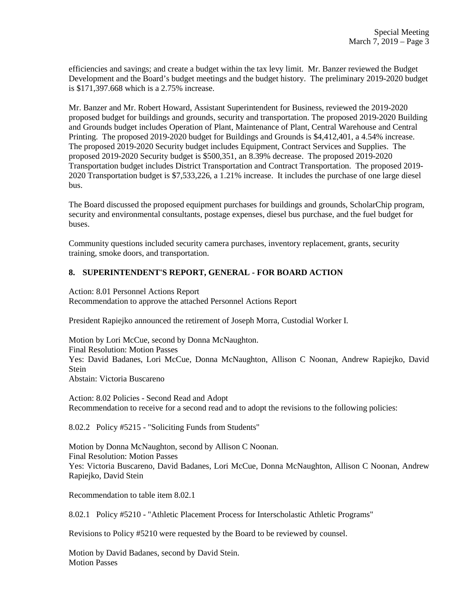efficiencies and savings; and create a budget within the tax levy limit. Mr. Banzer reviewed the Budget Development and the Board's budget meetings and the budget history. The preliminary 2019-2020 budget is \$171,397.668 which is a 2.75% increase.

Mr. Banzer and Mr. Robert Howard, Assistant Superintendent for Business, reviewed the 2019-2020 proposed budget for buildings and grounds, security and transportation. The proposed 2019-2020 Building and Grounds budget includes Operation of Plant, Maintenance of Plant, Central Warehouse and Central Printing. The proposed 2019-2020 budget for Buildings and Grounds is \$4,412,401, a 4.54% increase. The proposed 2019-2020 Security budget includes Equipment, Contract Services and Supplies. The proposed 2019-2020 Security budget is \$500,351, an 8.39% decrease. The proposed 2019-2020 Transportation budget includes District Transportation and Contract Transportation. The proposed 2019- 2020 Transportation budget is \$7,533,226, a 1.21% increase. It includes the purchase of one large diesel bus.

The Board discussed the proposed equipment purchases for buildings and grounds, ScholarChip program, security and environmental consultants, postage expenses, diesel bus purchase, and the fuel budget for buses.

Community questions included security camera purchases, inventory replacement, grants, security training, smoke doors, and transportation.

## **8. SUPERINTENDENT'S REPORT, GENERAL - FOR BOARD ACTION**

Action: 8.01 Personnel Actions Report Recommendation to approve the attached Personnel Actions Report

President Rapiejko announced the retirement of Joseph Morra, Custodial Worker I.

Motion by Lori McCue, second by Donna McNaughton. Final Resolution: Motion Passes Yes: David Badanes, Lori McCue, Donna McNaughton, Allison C Noonan, Andrew Rapiejko, David Stein Abstain: Victoria Buscareno

Action: 8.02 Policies - Second Read and Adopt Recommendation to receive for a second read and to adopt the revisions to the following policies:

8.02.2 Policy #5215 - "Soliciting Funds from Students"

Motion by Donna McNaughton, second by Allison C Noonan. Final Resolution: Motion Passes Yes: Victoria Buscareno, David Badanes, Lori McCue, Donna McNaughton, Allison C Noonan, Andrew Rapiejko, David Stein

Recommendation to table item 8.02.1

8.02.1 Policy #5210 - "Athletic Placement Process for Interscholastic Athletic Programs"

Revisions to Policy #5210 were requested by the Board to be reviewed by counsel.

Motion by David Badanes, second by David Stein. Motion Passes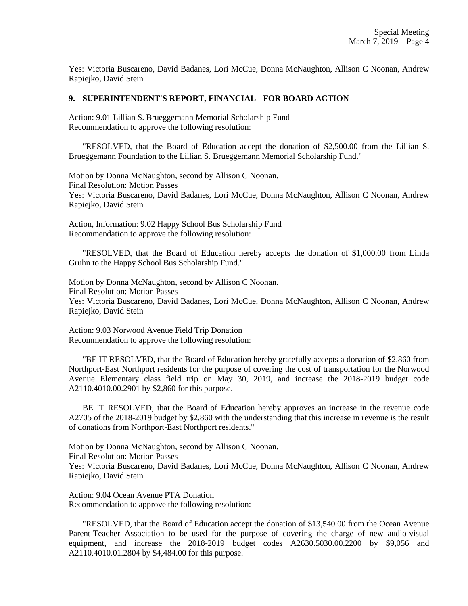Yes: Victoria Buscareno, David Badanes, Lori McCue, Donna McNaughton, Allison C Noonan, Andrew Rapiejko, David Stein

#### **9. SUPERINTENDENT'S REPORT, FINANCIAL - FOR BOARD ACTION**

Action: 9.01 Lillian S. Brueggemann Memorial Scholarship Fund Recommendation to approve the following resolution:

 "RESOLVED, that the Board of Education accept the donation of \$2,500.00 from the Lillian S. Brueggemann Foundation to the Lillian S. Brueggemann Memorial Scholarship Fund."

Motion by Donna McNaughton, second by Allison C Noonan. Final Resolution: Motion Passes Yes: Victoria Buscareno, David Badanes, Lori McCue, Donna McNaughton, Allison C Noonan, Andrew Rapiejko, David Stein

Action, Information: 9.02 Happy School Bus Scholarship Fund Recommendation to approve the following resolution:

 "RESOLVED, that the Board of Education hereby accepts the donation of \$1,000.00 from Linda Gruhn to the Happy School Bus Scholarship Fund."

Motion by Donna McNaughton, second by Allison C Noonan. Final Resolution: Motion Passes Yes: Victoria Buscareno, David Badanes, Lori McCue, Donna McNaughton, Allison C Noonan, Andrew Rapiejko, David Stein

Action: 9.03 Norwood Avenue Field Trip Donation Recommendation to approve the following resolution:

 "BE IT RESOLVED, that the Board of Education hereby gratefully accepts a donation of \$2,860 from Northport-East Northport residents for the purpose of covering the cost of transportation for the Norwood Avenue Elementary class field trip on May 30, 2019, and increase the 2018-2019 budget code A2110.4010.00.2901 by \$2,860 for this purpose.

 BE IT RESOLVED, that the Board of Education hereby approves an increase in the revenue code A2705 of the 2018-2019 budget by \$2,860 with the understanding that this increase in revenue is the result of donations from Northport-East Northport residents."

Motion by Donna McNaughton, second by Allison C Noonan. Final Resolution: Motion Passes Yes: Victoria Buscareno, David Badanes, Lori McCue, Donna McNaughton, Allison C Noonan, Andrew Rapiejko, David Stein

Action: 9.04 Ocean Avenue PTA Donation Recommendation to approve the following resolution:

 "RESOLVED, that the Board of Education accept the donation of \$13,540.00 from the Ocean Avenue Parent-Teacher Association to be used for the purpose of covering the charge of new audio-visual equipment, and increase the 2018-2019 budget codes A2630.5030.00.2200 by \$9,056 and A2110.4010.01.2804 by \$4,484.00 for this purpose.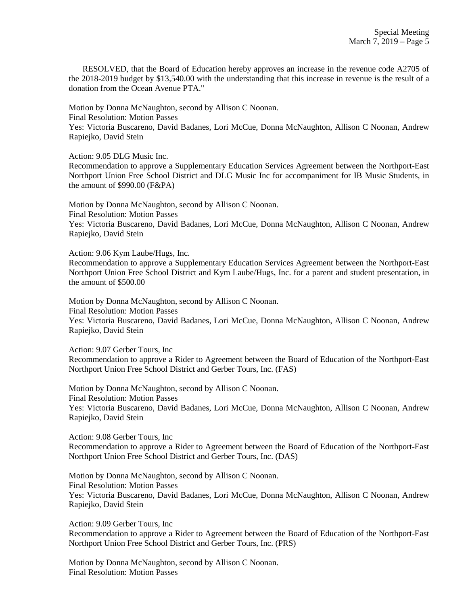RESOLVED, that the Board of Education hereby approves an increase in the revenue code A2705 of the 2018-2019 budget by \$13,540.00 with the understanding that this increase in revenue is the result of a donation from the Ocean Avenue PTA."

Motion by Donna McNaughton, second by Allison C Noonan.

Final Resolution: Motion Passes

Yes: Victoria Buscareno, David Badanes, Lori McCue, Donna McNaughton, Allison C Noonan, Andrew Rapiejko, David Stein

Action: 9.05 DLG Music Inc.

Recommendation to approve a Supplementary Education Services Agreement between the Northport-East Northport Union Free School District and DLG Music Inc for accompaniment for IB Music Students, in the amount of \$990.00 (F&PA)

Motion by Donna McNaughton, second by Allison C Noonan. Final Resolution: Motion Passes Yes: Victoria Buscareno, David Badanes, Lori McCue, Donna McNaughton, Allison C Noonan, Andrew Rapiejko, David Stein

Action: 9.06 Kym Laube/Hugs, Inc.

Recommendation to approve a Supplementary Education Services Agreement between the Northport-East Northport Union Free School District and Kym Laube/Hugs, Inc. for a parent and student presentation, in the amount of \$500.00

Motion by Donna McNaughton, second by Allison C Noonan. Final Resolution: Motion Passes Yes: Victoria Buscareno, David Badanes, Lori McCue, Donna McNaughton, Allison C Noonan, Andrew Rapiejko, David Stein

Action: 9.07 Gerber Tours, Inc

Recommendation to approve a Rider to Agreement between the Board of Education of the Northport-East Northport Union Free School District and Gerber Tours, Inc. (FAS)

Motion by Donna McNaughton, second by Allison C Noonan. Final Resolution: Motion Passes Yes: Victoria Buscareno, David Badanes, Lori McCue, Donna McNaughton, Allison C Noonan, Andrew Rapiejko, David Stein

Action: 9.08 Gerber Tours, Inc

Recommendation to approve a Rider to Agreement between the Board of Education of the Northport-East Northport Union Free School District and Gerber Tours, Inc. (DAS)

Motion by Donna McNaughton, second by Allison C Noonan. Final Resolution: Motion Passes Yes: Victoria Buscareno, David Badanes, Lori McCue, Donna McNaughton, Allison C Noonan, Andrew Rapiejko, David Stein

Action: 9.09 Gerber Tours, Inc Recommendation to approve a Rider to Agreement between the Board of Education of the Northport-East Northport Union Free School District and Gerber Tours, Inc. (PRS)

Motion by Donna McNaughton, second by Allison C Noonan. Final Resolution: Motion Passes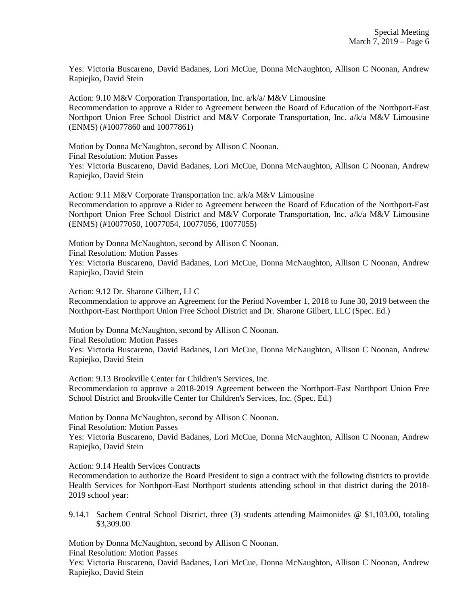Yes: Victoria Buscareno, David Badanes, Lori McCue, Donna McNaughton, Allison C Noonan, Andrew Rapiejko, David Stein

Action: 9.10 M&V Corporation Transportation, Inc. a/k/a/ M&V Limousine Recommendation to approve a Rider to Agreement between the Board of Education of the Northport-East Northport Union Free School District and M&V Corporate Transportation, Inc. a/k/a M&V Limousine (ENMS) (#10077860 and 10077861)

Motion by Donna McNaughton, second by Allison C Noonan. Final Resolution: Motion Passes Yes: Victoria Buscareno, David Badanes, Lori McCue, Donna McNaughton, Allison C Noonan, Andrew Rapiejko, David Stein

Action: 9.11 M&V Corporate Transportation Inc. a/k/a M&V Limousine Recommendation to approve a Rider to Agreement between the Board of Education of the Northport-East Northport Union Free School District and M&V Corporate Transportation, Inc. a/k/a M&V Limousine (ENMS) (#10077050, 10077054, 10077056, 10077055)

Motion by Donna McNaughton, second by Allison C Noonan. Final Resolution: Motion Passes Yes: Victoria Buscareno, David Badanes, Lori McCue, Donna McNaughton, Allison C Noonan, Andrew Rapiejko, David Stein

Action: 9.12 Dr. Sharone Gilbert, LLC

Recommendation to approve an Agreement for the Period November 1, 2018 to June 30, 2019 between the Northport-East Northport Union Free School District and Dr. Sharone Gilbert, LLC (Spec. Ed.)

Motion by Donna McNaughton, second by Allison C Noonan.

Final Resolution: Motion Passes

Yes: Victoria Buscareno, David Badanes, Lori McCue, Donna McNaughton, Allison C Noonan, Andrew Rapiejko, David Stein

Action: 9.13 Brookville Center for Children's Services, Inc. Recommendation to approve a 2018-2019 Agreement between the Northport-East Northport Union Free School District and Brookville Center for Children's Services, Inc. (Spec. Ed.)

Motion by Donna McNaughton, second by Allison C Noonan.

Final Resolution: Motion Passes

Yes: Victoria Buscareno, David Badanes, Lori McCue, Donna McNaughton, Allison C Noonan, Andrew Rapiejko, David Stein

Action: 9.14 Health Services Contracts

Recommendation to authorize the Board President to sign a contract with the following districts to provide Health Services for Northport-East Northport students attending school in that district during the 2018- 2019 school year:

9.14.1 Sachem Central School District, three (3) students attending Maimonides @ \$1,103.00, totaling \$3,309.00

Motion by Donna McNaughton, second by Allison C Noonan. Final Resolution: Motion Passes

Yes: Victoria Buscareno, David Badanes, Lori McCue, Donna McNaughton, Allison C Noonan, Andrew Rapiejko, David Stein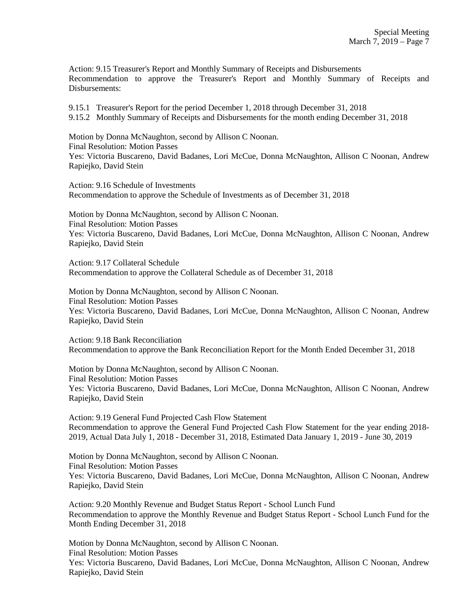Action: 9.15 Treasurer's Report and Monthly Summary of Receipts and Disbursements Recommendation to approve the Treasurer's Report and Monthly Summary of Receipts and Disbursements:

9.15.1 Treasurer's Report for the period December 1, 2018 through December 31, 2018 9.15.2 Monthly Summary of Receipts and Disbursements for the month ending December 31, 2018

Motion by Donna McNaughton, second by Allison C Noonan. Final Resolution: Motion Passes Yes: Victoria Buscareno, David Badanes, Lori McCue, Donna McNaughton, Allison C Noonan, Andrew Rapiejko, David Stein

Action: 9.16 Schedule of Investments Recommendation to approve the Schedule of Investments as of December 31, 2018

Motion by Donna McNaughton, second by Allison C Noonan. Final Resolution: Motion Passes Yes: Victoria Buscareno, David Badanes, Lori McCue, Donna McNaughton, Allison C Noonan, Andrew Rapiejko, David Stein

Action: 9.17 Collateral Schedule Recommendation to approve the Collateral Schedule as of December 31, 2018

Motion by Donna McNaughton, second by Allison C Noonan. Final Resolution: Motion Passes Yes: Victoria Buscareno, David Badanes, Lori McCue, Donna McNaughton, Allison C Noonan, Andrew Rapiejko, David Stein

Action: 9.18 Bank Reconciliation Recommendation to approve the Bank Reconciliation Report for the Month Ended December 31, 2018

Motion by Donna McNaughton, second by Allison C Noonan. Final Resolution: Motion Passes Yes: Victoria Buscareno, David Badanes, Lori McCue, Donna McNaughton, Allison C Noonan, Andrew Rapiejko, David Stein

Action: 9.19 General Fund Projected Cash Flow Statement Recommendation to approve the General Fund Projected Cash Flow Statement for the year ending 2018- 2019, Actual Data July 1, 2018 - December 31, 2018, Estimated Data January 1, 2019 - June 30, 2019

Motion by Donna McNaughton, second by Allison C Noonan. Final Resolution: Motion Passes Yes: Victoria Buscareno, David Badanes, Lori McCue, Donna McNaughton, Allison C Noonan, Andrew Rapiejko, David Stein

Action: 9.20 Monthly Revenue and Budget Status Report - School Lunch Fund Recommendation to approve the Monthly Revenue and Budget Status Report - School Lunch Fund for the Month Ending December 31, 2018

Motion by Donna McNaughton, second by Allison C Noonan. Final Resolution: Motion Passes Yes: Victoria Buscareno, David Badanes, Lori McCue, Donna McNaughton, Allison C Noonan, Andrew Rapiejko, David Stein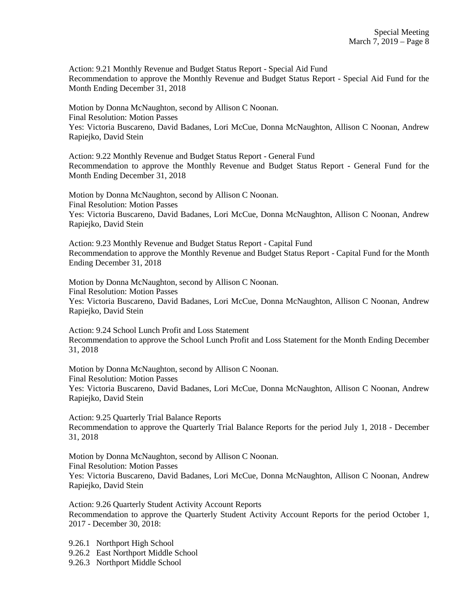Action: 9.21 Monthly Revenue and Budget Status Report - Special Aid Fund Recommendation to approve the Monthly Revenue and Budget Status Report - Special Aid Fund for the Month Ending December 31, 2018

Motion by Donna McNaughton, second by Allison C Noonan. Final Resolution: Motion Passes Yes: Victoria Buscareno, David Badanes, Lori McCue, Donna McNaughton, Allison C Noonan, Andrew Rapiejko, David Stein

Action: 9.22 Monthly Revenue and Budget Status Report - General Fund Recommendation to approve the Monthly Revenue and Budget Status Report - General Fund for the Month Ending December 31, 2018

Motion by Donna McNaughton, second by Allison C Noonan. Final Resolution: Motion Passes Yes: Victoria Buscareno, David Badanes, Lori McCue, Donna McNaughton, Allison C Noonan, Andrew Rapiejko, David Stein

Action: 9.23 Monthly Revenue and Budget Status Report - Capital Fund Recommendation to approve the Monthly Revenue and Budget Status Report - Capital Fund for the Month Ending December 31, 2018

Motion by Donna McNaughton, second by Allison C Noonan. Final Resolution: Motion Passes Yes: Victoria Buscareno, David Badanes, Lori McCue, Donna McNaughton, Allison C Noonan, Andrew Rapiejko, David Stein

Action: 9.24 School Lunch Profit and Loss Statement Recommendation to approve the School Lunch Profit and Loss Statement for the Month Ending December 31, 2018

Motion by Donna McNaughton, second by Allison C Noonan. Final Resolution: Motion Passes Yes: Victoria Buscareno, David Badanes, Lori McCue, Donna McNaughton, Allison C Noonan, Andrew Rapiejko, David Stein

Action: 9.25 Quarterly Trial Balance Reports Recommendation to approve the Quarterly Trial Balance Reports for the period July 1, 2018 - December 31, 2018

Motion by Donna McNaughton, second by Allison C Noonan. Final Resolution: Motion Passes Yes: Victoria Buscareno, David Badanes, Lori McCue, Donna McNaughton, Allison C Noonan, Andrew Rapiejko, David Stein

Action: 9.26 Quarterly Student Activity Account Reports Recommendation to approve the Quarterly Student Activity Account Reports for the period October 1, 2017 - December 30, 2018:

9.26.1 Northport High School

9.26.2 East Northport Middle School

9.26.3 Northport Middle School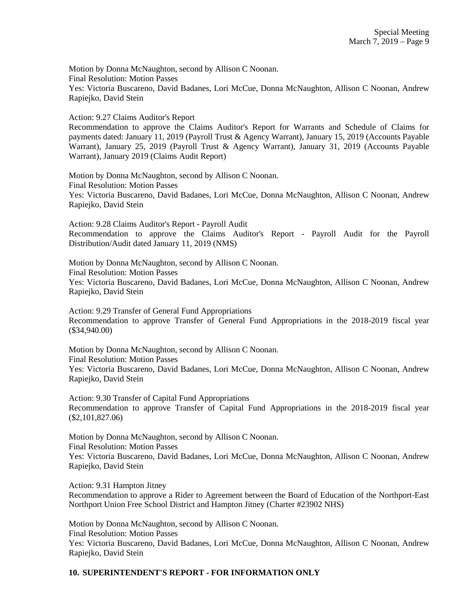Motion by Donna McNaughton, second by Allison C Noonan. Final Resolution: Motion Passes Yes: Victoria Buscareno, David Badanes, Lori McCue, Donna McNaughton, Allison C Noonan, Andrew Rapiejko, David Stein

Action: 9.27 Claims Auditor's Report

Recommendation to approve the Claims Auditor's Report for Warrants and Schedule of Claims for payments dated: January 11, 2019 (Payroll Trust & Agency Warrant), January 15, 2019 (Accounts Payable Warrant), January 25, 2019 (Payroll Trust & Agency Warrant), January 31, 2019 (Accounts Payable Warrant), January 2019 (Claims Audit Report)

Motion by Donna McNaughton, second by Allison C Noonan. Final Resolution: Motion Passes Yes: Victoria Buscareno, David Badanes, Lori McCue, Donna McNaughton, Allison C Noonan, Andrew Rapiejko, David Stein

Action: 9.28 Claims Auditor's Report - Payroll Audit Recommendation to approve the Claims Auditor's Report - Payroll Audit for the Payroll Distribution/Audit dated January 11, 2019 (NMS)

Motion by Donna McNaughton, second by Allison C Noonan. Final Resolution: Motion Passes Yes: Victoria Buscareno, David Badanes, Lori McCue, Donna McNaughton, Allison C Noonan, Andrew Rapiejko, David Stein

Action: 9.29 Transfer of General Fund Appropriations Recommendation to approve Transfer of General Fund Appropriations in the 2018-2019 fiscal year (\$34,940.00)

Motion by Donna McNaughton, second by Allison C Noonan. Final Resolution: Motion Passes Yes: Victoria Buscareno, David Badanes, Lori McCue, Donna McNaughton, Allison C Noonan, Andrew Rapiejko, David Stein

Action: 9.30 Transfer of Capital Fund Appropriations Recommendation to approve Transfer of Capital Fund Appropriations in the 2018-2019 fiscal year (\$2,101,827.06)

Motion by Donna McNaughton, second by Allison C Noonan. Final Resolution: Motion Passes Yes: Victoria Buscareno, David Badanes, Lori McCue, Donna McNaughton, Allison C Noonan, Andrew Rapiejko, David Stein

Action: 9.31 Hampton Jitney

Recommendation to approve a Rider to Agreement between the Board of Education of the Northport-East Northport Union Free School District and Hampton Jitney (Charter #23902 NHS)

Motion by Donna McNaughton, second by Allison C Noonan. Final Resolution: Motion Passes Yes: Victoria Buscareno, David Badanes, Lori McCue, Donna McNaughton, Allison C Noonan, Andrew Rapiejko, David Stein

# **10. SUPERINTENDENT'S REPORT - FOR INFORMATION ONLY**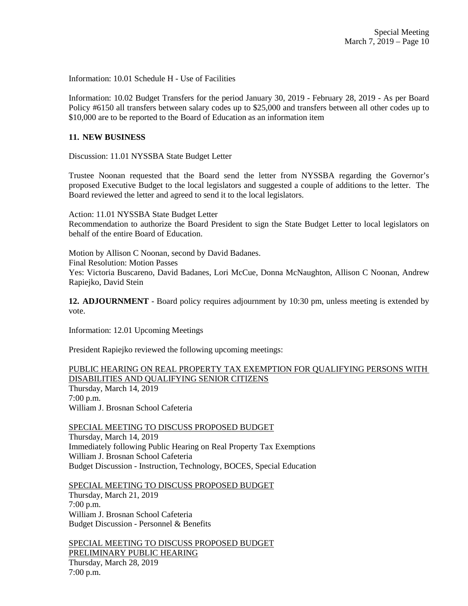Information: 10.01 Schedule H - Use of Facilities

Information: 10.02 Budget Transfers for the period January 30, 2019 - February 28, 2019 - As per Board Policy #6150 all transfers between salary codes up to \$25,000 and transfers between all other codes up to \$10,000 are to be reported to the Board of Education as an information item

#### **11. NEW BUSINESS**

Discussion: 11.01 NYSSBA State Budget Letter

Trustee Noonan requested that the Board send the letter from NYSSBA regarding the Governor's proposed Executive Budget to the local legislators and suggested a couple of additions to the letter. The Board reviewed the letter and agreed to send it to the local legislators.

Action: 11.01 NYSSBA State Budget Letter

Recommendation to authorize the Board President to sign the State Budget Letter to local legislators on behalf of the entire Board of Education.

Motion by Allison C Noonan, second by David Badanes. Final Resolution: Motion Passes Yes: Victoria Buscareno, David Badanes, Lori McCue, Donna McNaughton, Allison C Noonan, Andrew Rapiejko, David Stein

**12. ADJOURNMENT** - Board policy requires adjournment by 10:30 pm, unless meeting is extended by vote.

Information: 12.01 Upcoming Meetings

President Rapiejko reviewed the following upcoming meetings:

# PUBLIC HEARING ON REAL PROPERTY TAX EXEMPTION FOR QUALIFYING PERSONS WITH DISABILITIES AND QUALIFYING SENIOR CITIZENS Thursday, March 14, 2019 7:00 p.m.

William J. Brosnan School Cafeteria

SPECIAL MEETING TO DISCUSS PROPOSED BUDGET

Thursday, March 14, 2019 Immediately following Public Hearing on Real Property Tax Exemptions William J. Brosnan School Cafeteria Budget Discussion - Instruction, Technology, BOCES, Special Education

SPECIAL MEETING TO DISCUSS PROPOSED BUDGET Thursday, March 21, 2019 7:00 p.m. William J. Brosnan School Cafeteria Budget Discussion - Personnel & Benefits

SPECIAL MEETING TO DISCUSS PROPOSED BUDGET PRELIMINARY PUBLIC HEARING Thursday, March 28, 2019 7:00 p.m.